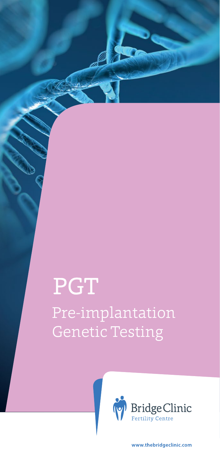# Pre-implantation Genetic Testing PGT



www.thebridgeclinic.com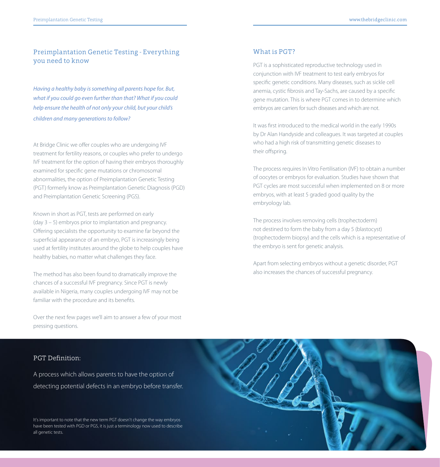### Preimplantation Genetic Testing - Everything you need to know

*Having a healthy baby is something all parents hope for. But, what if you could go even further than that? What if you could help ensure the health of not only your child, but your child's children and many generations to follow?*

At Bridge Clinic we offer couples who are undergoing IVF treatment for fertility reasons, or couples who prefer to undergo IVF treatment for the option of having their embryos thoroughly examined for specific gene mutations or chromosomal abnormalities, the option of Preimplantation Genetic Testing (PGT) formerly know as Preimplantation Genetic Diagnosis (PGD) and Preimplantation Genetic Screening (PGS).

Known in short as PGT, tests are performed on early (day 3 – 5) embryos prior to implantation and pregnancy. Offering specialists the opportunity to examine far beyond the superficial appearance of an embryo, PGT is increasingly being used at fertility institutes around the globe to help couples have healthy babies, no matter what challenges they face.

The method has also been found to dramatically improve the chances of a successful IVF pregnancy. Since PGT is newly available in Nigeria, many couples undergoing IVF may not be familiar with the procedure and its benefits.

Over the next few pages we'll aim to answer a few of your most pressing questions.

### What is PGT?

PGT is a sophisticated reproductive technology used in conjunction with IVF treatment to test early embryos for specific genetic conditions. Many diseases, such as sickle cell anemia, cystic fibrosis and Tay-Sachs, are caused by a specific gene mutation. This is where PGT comes in to determine which embryos are carriers for such diseases and which are not.

It was first introduced to the medical world in the early 1990s by Dr Alan Handyside and colleagues. It was targeted at couples who had a high risk of transmitting genetic diseases to their offspring.

The process requires In Vitro Fertilisation (IVF) to obtain a number of oocytes or embryos for evaluation. Studies have shown that PGT cycles are most successful when implemented on 8 or more embryos, with at least 5 graded good quality by the embryology lab.

The process involves removing cells (trophectoderm) not destined to form the baby from a day 5 (blastocyst) (trophectoderm biopsy) and the cells which is a representative of the embryo is sent for genetic analysis.

Apart from selecting embryos without a genetic disorder, PGT also increases the chances of successful pregnancy.

### PGT Definition:

A process which allows parents to have the option of detecting potential defects in an embryo before transfer.



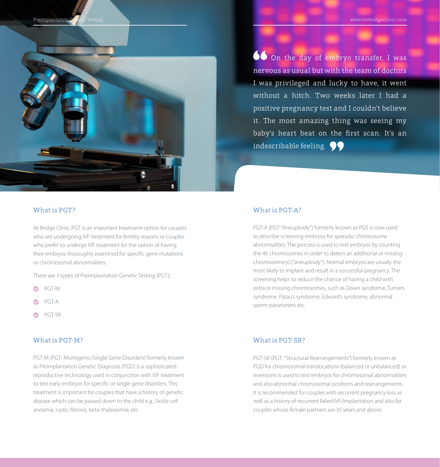Preimplantation Genetic Testing www.thebridgeclinic.com ridge www.thebridgeclinic.com ridge www.thebridgeclinic.com



On the day of embryo transfer, I was nervous as usual but with the team of doctors I was privileged and lucky to have, it went without a hitch. Two weeks later I had a positive pregnancy test and I couldn't believe it. The most amazing thing was seeing my baby's heart beat on the first scan. It's an indescribable feeling.  $\bigcirc$ 

### What is PGT?

At Bridge Clinic, PGT is an important treatment option for couples who are undergoing IVF treatment for fertility reasons or couples who prefer to undergo IVF treatment for the option of having their embryos thoroughly examined for specific gene mutations or chromosomal abnormalities.

There are 3 types of Preimplantation Genetic Testing (PGT);

- $\bullet$ PGT-M
- PGT-A
- PGT-SR

### What is PGT-M?

PGT-M (PGT- Monogenic/Single Gene Disorders) formerly known as Preimplantation Genetic Diagnosis (PGD) is a sophisticated reproductive technology used in conjunction with IVF treatment to test early embryos for specific or single gene disorders. This treatment is important for couples that have a history of genetic disease which can be passed down to the child e.g., Sickle cell aneamia, cystic fibrosis, beta-thalassemia, etc.

### What is PGT-A?

PGT-A (PGT-"Aneuploidy") formerly known as PGS is now used to describe screening embryos for sporadic chromosome abnormalities. The process is used to test embryos by counting the 46 chromosomes in order to detect an additional or missing chromosome(s) ("aneuploidy"). Normal embryos are usually the most likely to implant and result in a successful pregnancy. The screening helps to reduce the chance of having a child with extra or missing chromosomes, such as Down syndrome, Turners syndrome, Patau's syndrome, Edward's syndrome, abnormal sperm parameters etc.

### What is PGT-SR?

PGT-SR (PGT- "Structural Rearrangements") formerly known as PGD for chromosomal translocations (balanced or unbalanced) or inversions is used to test embryos for chromosomal abnormalities and also abnormal chromosomal positions and rearrangements. It is recommended for couples with recurrent pregnancy loss as well as a history of recurrent failed IVF/implantation and also for couples whose female partners are 35 years and above.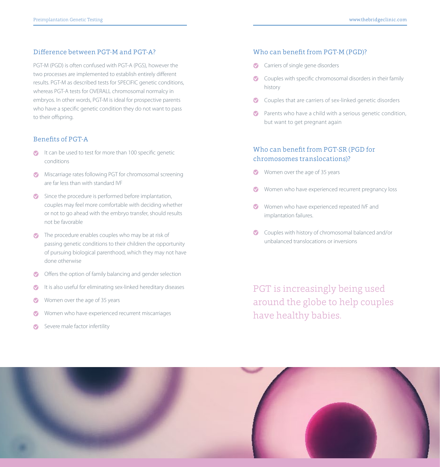### Difference between PGT-M and PGT-A?

PGT-M (PGD) is often confused with PGT-A (PGS), however the two processes are implemented to establish entirely different results. PGT-M as described tests for SPECIFIC genetic conditions, whereas PGT-A tests for OVERALL chromosomal normalcy in embryos. In other words, PGT-M is ideal for prospective parents who have a specific genetic condition they do not want to pass to their offspring.

### Benefits of PGT-A

- It can be used to test for more than 100 specific genetic conditions
- Miscarriage rates following PGT for chromosomal screening are far less than with standard IVF
- Since the procedure is performed before implantation, couples may feel more comfortable with deciding whether or not to go ahead with the embryo transfer, should results not be favorable
- The procedure enables couples who may be at risk of passing genetic conditions to their children the opportunity of pursuing biological parenthood, which they may not have done otherwise
- Offers the option of family balancing and gender selection
- It is also useful for eliminating sex-linked hereditary diseases
- Women over the age of 35 years ⊙
- Women who have experienced recurrent miscarriages
- Severe male factor infertility

### Who can benefit from PGT-M (PGD)?

- Carriers of single gene disorders
- Couples with specific chromosomal disorders in their family history
- Couples that are carriers of sex-linked genetic disorders
- Parents who have a child with a serious genetic condition, but want to get pregnant again

### Who can benefit from PGT-SR (PGD for chromosomes translocations)?

- Women over the age of 35 years
- Women who have experienced recurrent pregnancy loss
- Women who have experienced repeated IVF and implantation failures.
- Couples with history of chromosomal balanced and/or unbalanced translocations or inversions

PGT is increasingly being used around the globe to help couples have healthy babies.

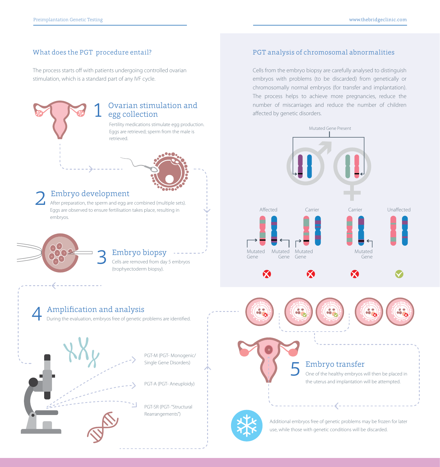### What does the PGT procedure entail?

The process starts off with patients undergoing controlled ovarian stimulation, which is a standard part of any IVF cycle.



### PGT analysis of chromosomal abnormalities

Cells from the embryo biopsy are carefully analysed to distinguish embryos with problems (to be discarded) from genetically or chromosomally normal embryos (for transfer and implantation). The process helps to achieve more pregnancies, reduce the number of miscarriages and reduce the number of children affected by genetic disorders.

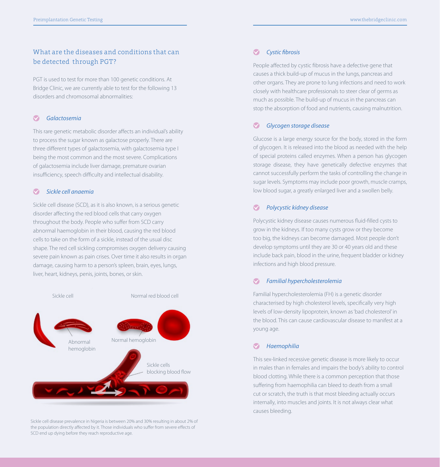### What are the diseases and conditions that can be detected through PGT?

PGT is used to test for more than 100 genetic conditions. At Bridge Clinic, we are currently able to test for the following 13 disorders and chromosomal abnormalities:

### *Galactosemia*

This rare genetic metabolic disorder affects an individual's ability to process the sugar known as galactose properly. There are three different types of galactosemia, with galactosemia type I being the most common and the most severe. Complications of galactosemia include liver damage, premature ovarian insufficiency, speech difficulty and intellectual disability.

#### $\bullet$ *Sickle cell anaemia*

Sickle cell disease (SCD), as it is also known, is a serious genetic disorder affecting the red blood cells that carry oxygen throughout the body. People who suffer from SCD carry abnormal haemoglobin in their blood, causing the red blood cells to take on the form of a sickle, instead of the usual disc shape. The red cell sickling compromises oxygen delivery causing severe pain known as pain crises. Over time it also results in organ damage, causing harm to a person's spleen, brain, eyes, lungs, liver, heart, kidneys, penis, joints, bones, or skin.



Sickle cell disease prevalence in Nigeria is between 20% and 30% resulting in about 2% of the population directly affected by it. Those individuals who suffer from severe effects of SCD end up dying before they reach reproductive age.

#### $\bullet$ *Cystic fibrosis*

People affected by cystic fibrosis have a defective gene that causes a thick build-up of mucus in the lungs, pancreas and other organs. They are prone to lung infections and need to work closely with healthcare professionals to steer clear of germs as much as possible. The build-up of mucus in the pancreas can stop the absorption of food and nutrients, causing malnutrition.

#### *Glycogen storage disease*  $\blacktriangledown$

Glucose is a large energy source for the body, stored in the form of glycogen. It is released into the blood as needed with the help of special proteins called enzymes. When a person has glycogen storage disease, they have genetically defective enzymes that cannot successfully perform the tasks of controlling the change in sugar levels. Symptoms may include poor growth, muscle cramps, low blood sugar, a greatly enlarged liver and a swollen belly.

#### *Polycystic kidney disease*  $\bullet$

Polycystic kidney disease causes numerous fluid-filled cysts to grow in the kidneys. If too many cysts grow or they become too big, the kidneys can become damaged. Most people don't develop symptoms until they are 30 or 40 years old and these include back pain, blood in the urine, frequent bladder or kidney infections and high blood pressure.

#### *Familial hypercholesterolemia*  M

Familial hypercholesterolemia (FH) is a genetic disorder characterised by high cholesterol levels, specifically very high levels of low-density lipoprotein, known as 'bad cholesterol' in the blood. This can cause cardiovascular disease to manifest at a young age.

### *Haemophilia*

This sex-linked recessive genetic disease is more likely to occur in males than in females and impairs the body's ability to control blood clotting. While there is a common perception that those suffering from haemophilia can bleed to death from a small cut or scratch, the truth is that most bleeding actually occurs internally, into muscles and joints. It is not always clear what causes bleeding.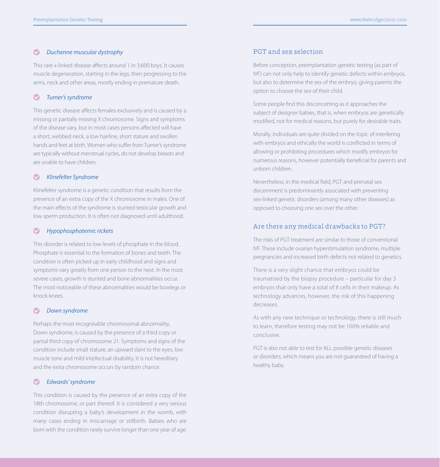#### $\bullet$ *Duchenne muscular dystrophy*

This rare x-linked disease affects around 1 in 3,600 boys. It causes muscle degeneration, starting in the legs, then progressing to the arms, neck and other areas, mostly ending in premature death.

#### *Turner's syndrome*  $\bullet$

This genetic disease affects females exclusively and is caused by a missing or partially missing X chromosome. Signs and symptoms of the disease vary, but in most cases persons affected will have a short, webbed neck, a low hairline, short stature and swollen hands and feet at birth. Women who suffer from Turner's syndrome are typically without menstrual cycles, do not develop breasts and are unable to have children.

#### $\bullet$ *Klinefelter Syndrome*

Klinefelter syndrome is a genetic condition that results from the presence of an extra copy of the X chromosome in males. One of the main effects of the syndrome is stunted testicular growth and low sperm production. It is often not diagnosed until adulthood.

#### *Hypophosphatemic rickets*  $\bullet$

This disorder is related to low levels of phosphate in the blood. Phosphate is essential to the formation of bones and teeth. The condition is often picked up in early childhood and signs and symptoms vary greatly from one person to the next. In the most severe cases, growth is stunted and bone abnormalities occur. The most noticeable of these abnormalities would be bowlegs or knock-knees.

#### $\bullet$ *Down syndrome*

Perhaps the most recognisable chromosomal abnormality, Down syndrome, is caused by the presence of a third copy or partial third copy of chromosome 21. Symptoms and signs of the condition include small stature, an upward slant to the eyes, low muscle tone and mild intellectual disability. It is not hereditary and the extra chromosome occurs by random chance.

### *Edwards' syndrome*

This condition is caused by the presence of an extra copy of the 18th chromosome, or part thereof. It is considered a very serious condition disrupting a baby's development in the womb, with many cases ending in miscarriage or stillbirth. Babies who are born with the condition rarely survive longer than one year of age.

### PGT and sex selection

Before conception, preimplantation genetic testing (as part of IVF) can not only help to identify genetic defects within embryos, but also to determine the sex of the embryo, giving parents the option to choose the sex of their child.

Some people find this disconcerting as it approaches the subject of designer babies, that is, when embryos are genetically modified, not for medical reasons, but purely for desirable traits.

Morally, individuals are quite divided on the topic of interfering with embryos and ethically the world is conflicted in terms of allowing or prohibiting procedures which modify embryos for numerous reasons, however potentially beneficial for parents and unborn children.

Nevertheless, in the medical field, PGT and prenatal sex discernment is predominantly associated with preventing sex-linked genetic disorders (among many other diseases) as opposed to choosing one sex over the other.

### Are there any medical drawbacks to PGT?

The risks of PGT treatment are similar to those of conventional IVF. These include ovarian hyperstimulation syndrome, multiple pregnancies and increased birth defects not related to genetics.

There is a very slight chance that embryos could be traumatised by the biopsy procedure – particular for day 3 embryos that only have a total of 8 cells in their makeup. As technology advances, however, the risk of this happening decreases.

As with any new technique or technology, there is still much to learn, therefore testing may not be 100% reliable and conclusive.

PGT is also not able to test for ALL possible genetic diseases or disorders, which means you are not guaranteed of having a healthy baby.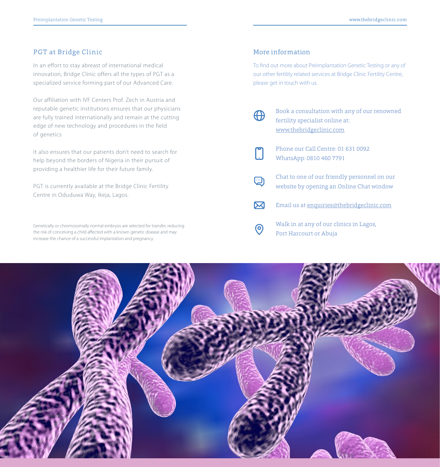### PGT at Bridge Clinic

In an effort to stay abreast of international medical innovation, Bridge Clinic offers all the types of PGT as a specialized service forming part of our Advanced Care.

Our affiliation with IVF Centers Prof. Zech in Austria and reputable genetic institutions ensures that our physicians are fully trained internationally and remain at the cutting edge of new technology and procedures in the field of genetics

It also ensures that our patients don't need to search for help beyond the borders of Nigeria in their pursuit of providing a healthier life for their future family.

PGT is currently available at the Bridge Clinic Fertility Centre in Oduduwa Way, Ikeja, Lagos.

Genetically or chromosomally normal embryos are selected for transfer, reducing the risk of conceiving a child affected with a known genetic disease and may increase the chance of a successful implantation and pregnancy.

### More information

To find out more about Preimplantation Genetic Testing or any of our other fertility related services at Bridge Clinic Fertility Centre, please get in touch with us.

- Book a consultation with any of our renowned ⊕ fertility specialist online at: www.thebridgeclinic.com Phone our Call Centre: 01 631 0092 WhatsApp: 0810 460 7791
- Chat to one of our friendly personnel on our  $\bigcirc$ website by opening an Online Chat window
- $\boxtimes$ Email us at enquiries@thebridgeclinic.com
- Walk in at any of our clinics in Lagos,  $\odot$ Port Harcourt or Abuja